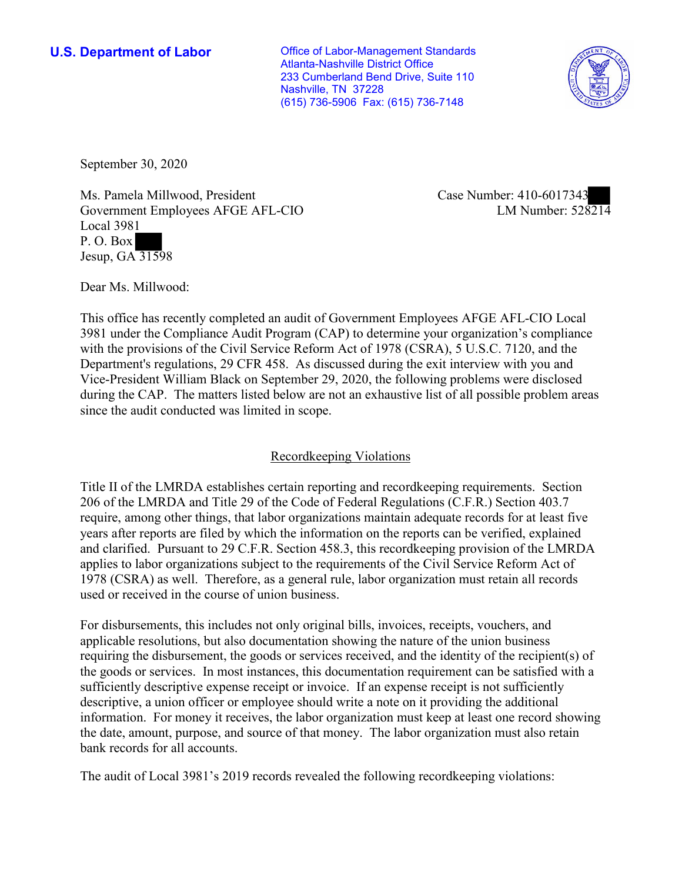**U.S. Department of Labor Conservative Conservative Conservative Conservative Conservative Conservative Conservative Conservative Conservative Conservative Conservative Conservative Conservative Conservative Conservative** Atlanta-Nashville District Office 233 Cumberland Bend Drive, Suite 110 Nashville, TN 37228 (615) 736-5906 Fax: (615) 736-7148



September 30, 2020

ent Ei<br>1<br>3159 Ms. Pamela Millwood, President Government Employees AFGE AFL-CIO Local 3981 P. O. Box Jesup, GA 31598

Case Number: 410-6017343<br>LM Number: 528214

Dear Ms. Millwood:

 This office has recently completed an audit of Government Employees AFGE AFL-CIO Local 3981 under the Compliance Audit Program (CAP) to determine your organization's compliance with the provisions of the Civil Service Reform Act of 1978 (CSRA), 5 U.S.C. 7120, and the Department's regulations, 29 CFR 458. As discussed during the exit interview with you and Vice-President William Black on September 29, 2020, the following problems were disclosed during the CAP. The matters listed below are not an exhaustive list of all possible problem areas since the audit conducted was limited in scope.

# Recordkeeping Violations

 Title II of the LMRDA establishes certain reporting and recordkeeping requirements. Section and clarified. Pursuant to 29 C.F.R. Section 458.3, this recordkeeping provision of the LMRDA 206 of the LMRDA and Title 29 of the Code of Federal Regulations (C.F.R.) Section 403.7 require, among other things, that labor organizations maintain adequate records for at least five years after reports are filed by which the information on the reports can be verified, explained applies to labor organizations subject to the requirements of the Civil Service Reform Act of 1978 (CSRA) as well. Therefore, as a general rule, labor organization must retain all records used or received in the course of union business.

For disbursements, this includes not only original bills, invoices, receipts, vouchers, and applicable resolutions, but also documentation showing the nature of the union business requiring the disbursement, the goods or services received, and the identity of the recipient(s) of the goods or services. In most instances, this documentation requirement can be satisfied with a sufficiently descriptive expense receipt or invoice. If an expense receipt is not sufficiently descriptive, a union officer or employee should write a note on it providing the additional information. For money it receives, the labor organization must keep at least one record showing the date, amount, purpose, and source of that money. The labor organization must also retain bank records for all accounts.

The audit of Local 3981's 2019 records revealed the following recordkeeping violations: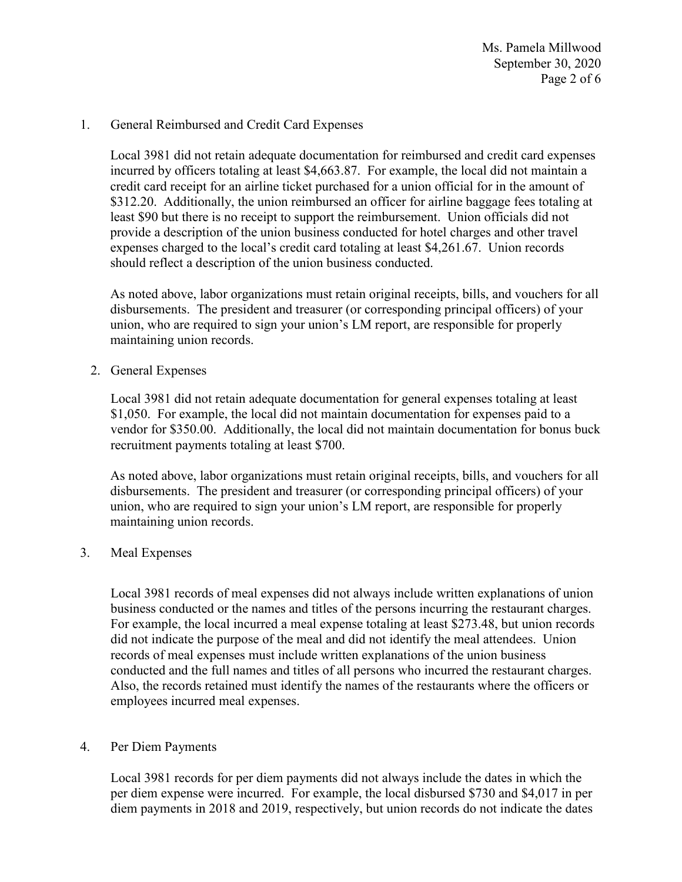Ms. Pamela Millwood September 30, 2020 Page 2 of 6

#### 1. General Reimbursed and Credit Card Expenses

 credit card receipt for an airline ticket purchased for a union official for in the amount of Local 3981 did not retain adequate documentation for reimbursed and credit card expenses incurred by officers totaling at least \$[4,663.87.](https://4,663.87) For example, the local did not maintain a \$312.20. Additionally, the union reimbursed an officer for airline baggage fees totaling at least \$90 but there is no receipt to support the reimbursement. Union officials did not provide a description of the union business conducted for hotel charges and other travel expenses charged to the local's credit card totaling at least [\\$4,261.67](https://4,261.67). Union records should reflect a description of the union business conducted.

 disbursements. The president and treasurer (or corresponding principal officers) of your As noted above, labor organizations must retain original receipts, bills, and vouchers for all union, who are required to sign your union's LM report, are responsible for properly maintaining union records.

2. General Expenses

Local 3981 did not retain adequate documentation for general expenses totaling at least \$1,050. For example, the local did not maintain documentation for expenses paid to a vendor for \$350.00. Additionally, the local did not maintain documentation for bonus buck recruitment payments totaling at least \$700.

 disbursements. The president and treasurer (or corresponding principal officers) of your As noted above, labor organizations must retain original receipts, bills, and vouchers for all union, who are required to sign your union's LM report, are responsible for properly maintaining union records.

3. Meal Expenses

 For example, the local incurred a meal expense totaling at least \$273.48, but union records employees incurred meal expenses. Local 3981 records of meal expenses did not always include written explanations of union business conducted or the names and titles of the persons incurring the restaurant charges. did not indicate the purpose of the meal and did not identify the meal attendees. Union records of meal expenses must include written explanations of the union business conducted and the full names and titles of all persons who incurred the restaurant charges. Also, the records retained must identify the names of the restaurants where the officers or

### 4. Per Diem Payments

 per diem expense were incurred. For example, the local disbursed \$730 and \$4,017 in per Local 3981 records for per diem payments did not always include the dates in which the diem payments in 2018 and 2019, respectively, but union records do not indicate the dates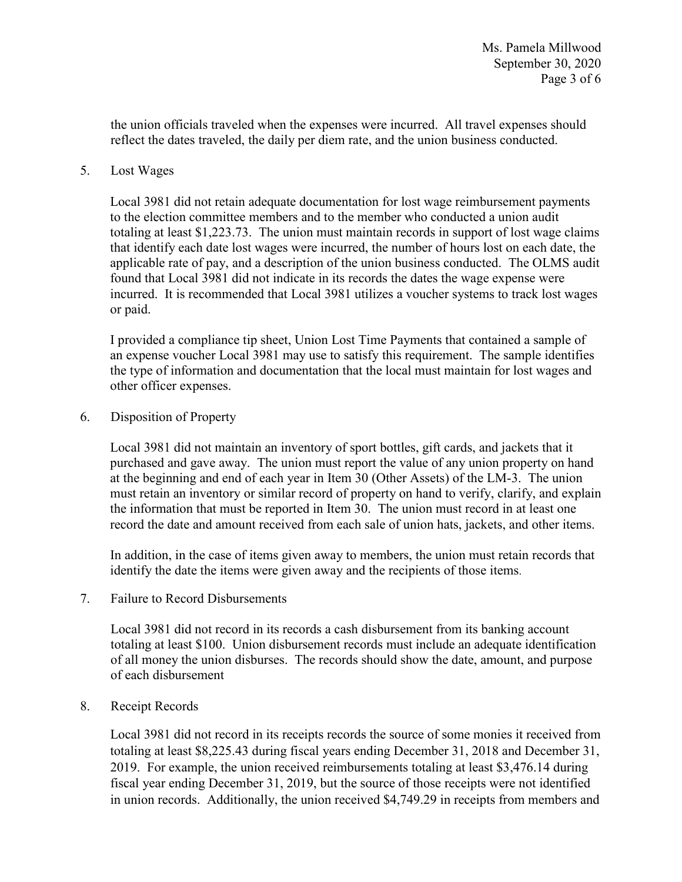the union officials traveled when the expenses were incurred. All travel expenses should reflect the dates traveled, the daily per diem rate, and the union business conducted.

### 5. Lost Wages

 totaling at least [\\$1,223.73](https://1,223.73). The union must maintain records in support of lost wage claims found that Local 3981 did not indicate in its records the dates the wage expense were Local 3981 did not retain adequate documentation for lost wage reimbursement payments to the election committee members and to the member who conducted a union audit that identify each date lost wages were incurred, the number of hours lost on each date, the applicable rate of pay, and a description of the union business conducted. The OLMS audit incurred. It is recommended that Local 3981 utilizes a voucher systems to track lost wages or paid.

I provided a compliance tip sheet, Union Lost Time Payments that contained a sample of an expense voucher Local 3981 may use to satisfy this requirement. The sample identifies the type of information and documentation that the local must maintain for lost wages and other officer expenses.

## 6. Disposition of Property

 the information that must be reported in Item 30. The union must record in at least one Local 3981 did not maintain an inventory of sport bottles, gift cards, and jackets that it purchased and gave away. The union must report the value of any union property on hand at the beginning and end of each year in Item 30 (Other Assets) of the LM-3. The union must retain an inventory or similar record of property on hand to verify, clarify, and explain record the date and amount received from each sale of union hats, jackets, and other items.

 identify the date the items were given away and the recipients of those items. In addition, in the case of items given away to members, the union must retain records that

7. Failure to Record Disbursements

Local 3981 did not record in its records a cash disbursement from its banking account totaling at least \$100. Union disbursement records must include an adequate identification of all money the union disburses. The records should show the date, amount, and purpose of each disbursement

### 8. Receipt Records

Local 3981 did not record in its receipts records the source of some monies it received from totaling at least [\\$8,225.43](https://8,225.43) during fiscal years ending December 31, 2018 and December 31, 2019. For example, the union received reimbursements totaling at least \$[3,476.14](https://3,476.14) during fiscal year ending December 31, 2019, but the source of those receipts were not identified in union records. Additionally, the union received [\\$4,749.29](https://4,749.29) in receipts from members and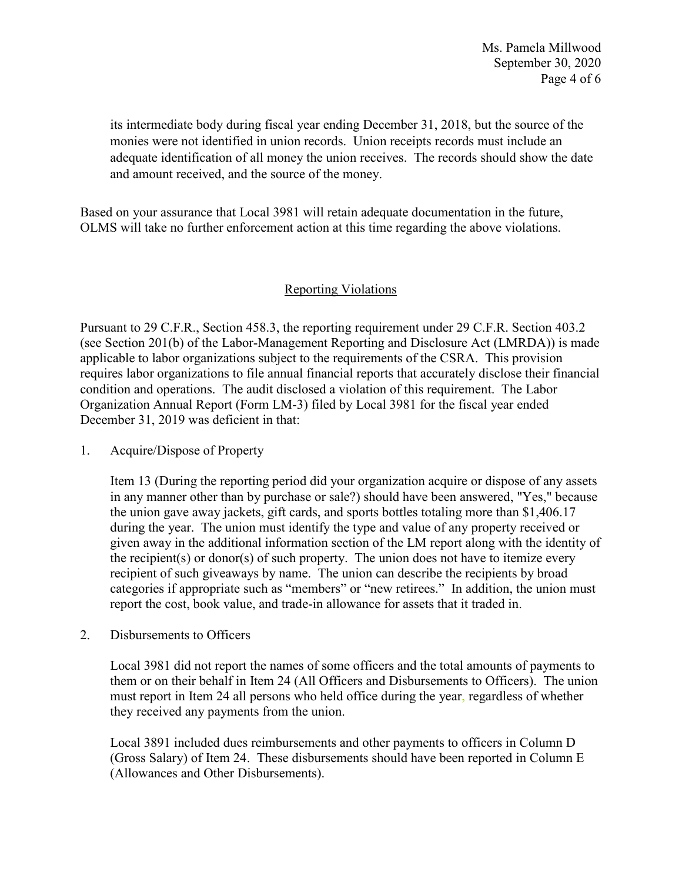its intermediate body during fiscal year ending December 31, 2018, but the source of the monies were not identified in union records. Union receipts records must include an adequate identification of all money the union receives. The records should show the date and amount received, and the source of the money.

 Based on your assurance that Local 3981 will retain adequate documentation in the future, OLMS will take no further enforcement action at this time regarding the above violations.

## Reporting Violations

 condition and operations. The audit disclosed a violation of this requirement. The Labor Pursuant to 29 C.F.R., Section 458.3, the reporting requirement under 29 C.F.R. Section 403.2 (see Section 201(b) of the Labor-Management Reporting and Disclosure Act (LMRDA)) is made applicable to labor organizations subject to the requirements of the CSRA. This provision requires labor organizations to file annual financial reports that accurately disclose their financial Organization Annual Report (Form LM-3) filed by Local 3981 for the fiscal year ended December 31, 2019 was deficient in that:

### 1. Acquire/Dispose of Property

 during the year. The union must identify the type and value of any property received or given away in the additional information section of the LM report along with the identity of categories if appropriate such as "members" or "new retirees." In addition, the union must Item 13 (During the reporting period did your organization acquire or dispose of any assets in any manner other than by purchase or sale?) should have been answered, "Yes," because the union gave away jackets, gift cards, and sports bottles totaling more than [\\$1,406.17](https://1,406.17) the recipient(s) or donor(s) of such property. The union does not have to itemize every recipient of such giveaways by name. The union can describe the recipients by broad report the cost, book value, and trade-in allowance for assets that it traded in.

2. Disbursements to Officers

 must report in Item 24 all persons who held office during the year, regardless of whether Local 3981 did not report the names of some officers and the total amounts of payments to them or on their behalf in Item 24 (All Officers and Disbursements to Officers). The union they received any payments from the union.

Local 3891 included dues reimbursements and other payments to officers in Column D (Gross Salary) of Item 24. These disbursements should have been reported in Column E (Allowances and Other Disbursements).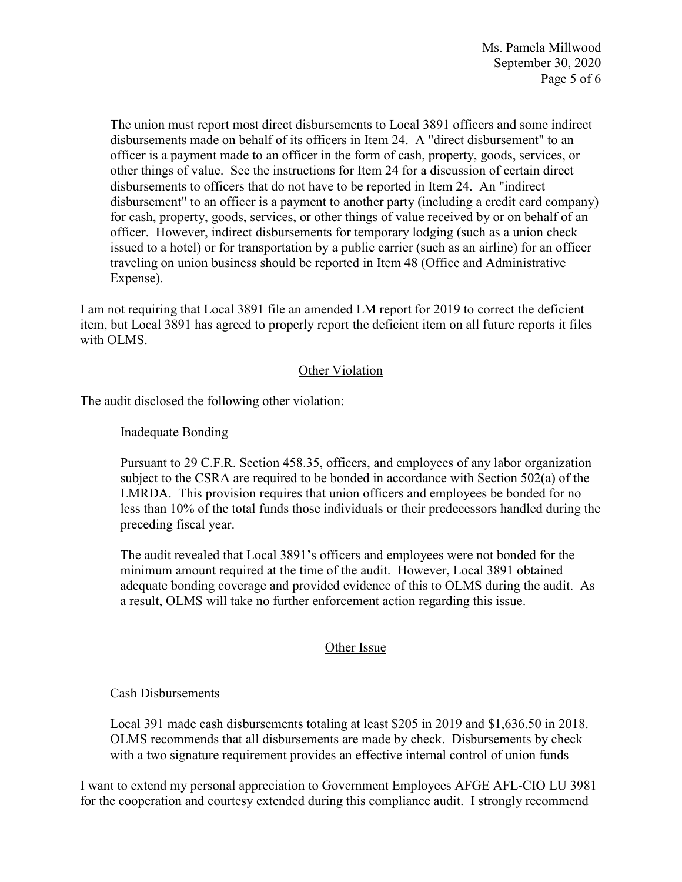issued to a hotel) or for transportation by a public carrier (such as an airline) for an officer The union must report most direct disbursements to Local 3891 officers and some indirect disbursements made on behalf of its officers in Item 24. A "direct disbursement" to an officer is a payment made to an officer in the form of cash, property, goods, services, or other things of value. See the instructions for Item 24 for a discussion of certain direct disbursements to officers that do not have to be reported in Item 24. An "indirect disbursement" to an officer is a payment to another party (including a credit card company) for cash, property, goods, services, or other things of value received by or on behalf of an officer. However, indirect disbursements for temporary lodging (such as a union check traveling on union business should be reported in Item 48 (Office and Administrative Expense).

I am not requiring that Local 3891 file an amended LM report for 2019 to correct the deficient item, but Local 3891 has agreed to properly report the deficient item on all future reports it files with OLMS.

### **Other Violation**

The audit disclosed the following other violation:

Inadequate Bonding

 preceding fiscal year. Pursuant to 29 C.F.R. Section 458.35, officers, and employees of any labor organization subject to the CSRA are required to be bonded in accordance with Section 502(a) of the LMRDA. This provision requires that union officers and employees be bonded for no less than 10% of the total funds those individuals or their predecessors handled during the

 adequate bonding coverage and provided evidence of this to OLMS during the audit. As The audit revealed that Local 3891's officers and employees were not bonded for the minimum amount required at the time of the audit. However, Local 3891 obtained a result, OLMS will take no further enforcement action regarding this issue.

### Other Issue

### Cash Disbursements

with a two signature requirement provides an effective internal control of union funds Local 391 made cash disbursements totaling at least \$205 in 2019 and [\\$1,636.50](https://1,636.50) in 2018. OLMS recommends that all disbursements are made by check. Disbursements by check

with a two signature requirement provides an effective internal control of union funds<br>I want to extend my personal appreciation to Government Employees AFGE AFL-CIO LU 3981 for the cooperation and courtesy extended during this compliance audit. I strongly recommend